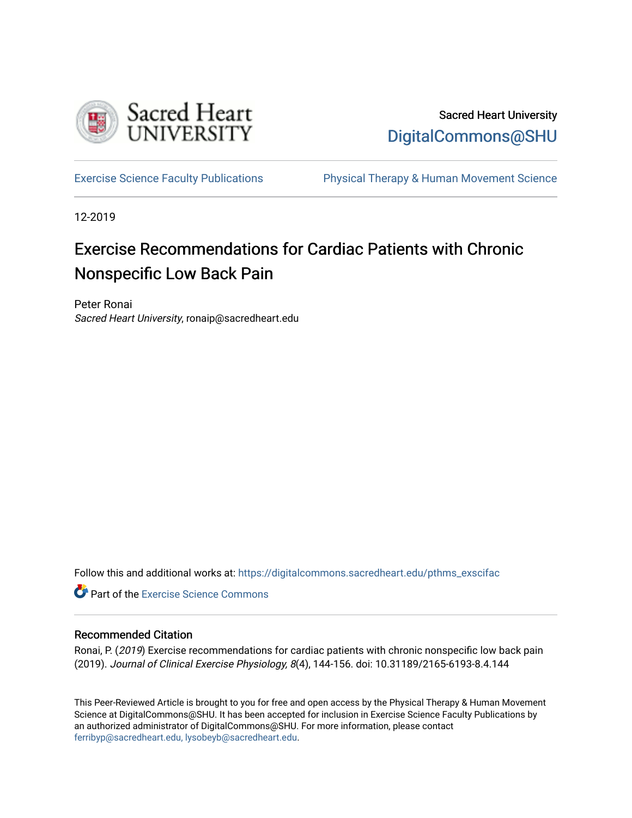

### Sacred Heart University [DigitalCommons@SHU](https://digitalcommons.sacredheart.edu/)

[Exercise Science Faculty Publications](https://digitalcommons.sacredheart.edu/pthms_exscifac) [Physical Therapy & Human Movement Science](https://digitalcommons.sacredheart.edu/pthms) 

12-2019

## Exercise Recommendations for Cardiac Patients with Chronic Nonspecific Low Back Pain

Peter Ronai Sacred Heart University, ronaip@sacredheart.edu

Follow this and additional works at: [https://digitalcommons.sacredheart.edu/pthms\\_exscifac](https://digitalcommons.sacredheart.edu/pthms_exscifac?utm_source=digitalcommons.sacredheart.edu%2Fpthms_exscifac%2F43&utm_medium=PDF&utm_campaign=PDFCoverPages)

**Part of the [Exercise Science Commons](http://network.bepress.com/hgg/discipline/1091?utm_source=digitalcommons.sacredheart.edu%2Fpthms_exscifac%2F43&utm_medium=PDF&utm_campaign=PDFCoverPages)** 

#### Recommended Citation

Ronai, P. (2019) Exercise recommendations for cardiac patients with chronic nonspecific low back pain (2019). Journal of Clinical Exercise Physiology, 8(4), 144-156. doi: 10.31189/2165-6193-8.4.144

This Peer-Reviewed Article is brought to you for free and open access by the Physical Therapy & Human Movement Science at DigitalCommons@SHU. It has been accepted for inclusion in Exercise Science Faculty Publications by an authorized administrator of DigitalCommons@SHU. For more information, please contact [ferribyp@sacredheart.edu, lysobeyb@sacredheart.edu.](mailto:ferribyp@sacredheart.edu,%20lysobeyb@sacredheart.edu)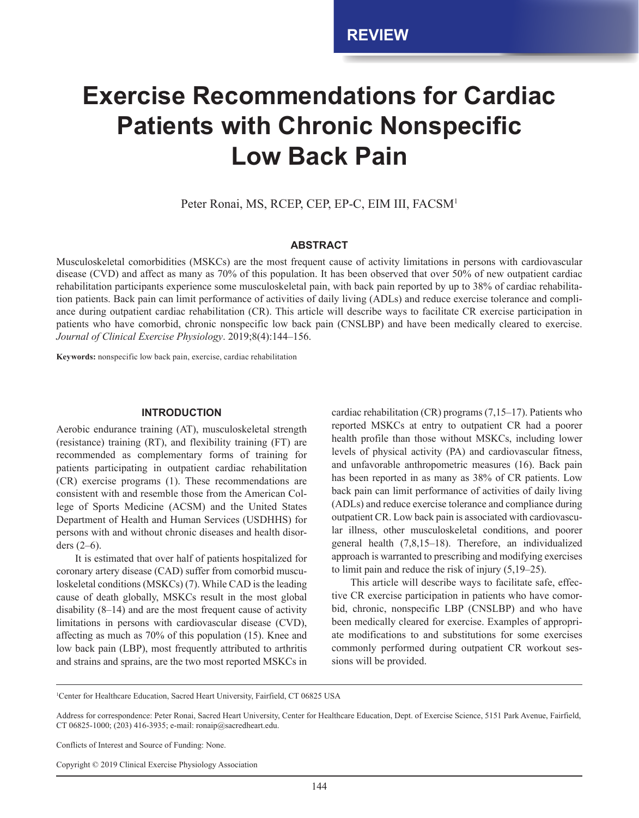# **Exercise Recommendations for Cardiac Patients with Chronic Nonspecific Low Back Pain**

Peter Ronai, MS, RCEP, CEP, EP-C, EIM III, FACSM<sup>1</sup>

#### **ABSTRACT**

Musculoskeletal comorbidities (MSKCs) are the most frequent cause of activity limitations in persons with cardiovascular disease (CVD) and affect as many as 70% of this population. It has been observed that over 50% of new outpatient cardiac rehabilitation participants experience some musculoskeletal pain, with back pain reported by up to 38% of cardiac rehabilitation patients. Back pain can limit performance of activities of daily living (ADLs) and reduce exercise tolerance and compliance during outpatient cardiac rehabilitation (CR). This article will describe ways to facilitate CR exercise participation in patients who have comorbid, chronic nonspecific low back pain (CNSLBP) and have been medically cleared to exercise. *Journal of Clinical Exercise Physiology*. 2019;8(4):144–156.

**Keywords:** nonspecific low back pain, exercise, cardiac rehabilitation

#### **INTRODUCTION**

Aerobic endurance training (AT), musculoskeletal strength (resistance) training (RT), and flexibility training (FT) are recommended as complementary forms of training for patients participating in outpatient cardiac rehabilitation (CR) exercise programs (1). These recommendations are consistent with and resemble those from the American College of Sports Medicine (ACSM) and the United States Department of Health and Human Services (USDHHS) for persons with and without chronic diseases and health disorders (2–6).

It is estimated that over half of patients hospitalized for coronary artery disease (CAD) suffer from comorbid musculoskeletal conditions (MSKCs) (7). While CAD is the leading cause of death globally, MSKCs result in the most global disability (8–14) and are the most frequent cause of activity limitations in persons with cardiovascular disease (CVD), affecting as much as 70% of this population (15). Knee and low back pain (LBP), most frequently attributed to arthritis and strains and sprains, are the two most reported MSKCs in cardiac rehabilitation (CR) programs (7,15–17). Patients who reported MSKCs at entry to outpatient CR had a poorer health profile than those without MSKCs, including lower levels of physical activity (PA) and cardiovascular fitness, and unfavorable anthropometric measures (16). Back pain has been reported in as many as 38% of CR patients. Low back pain can limit performance of activities of daily living (ADLs) and reduce exercise tolerance and compliance during outpatient CR. Low back pain is associated with cardiovascular illness, other musculoskeletal conditions, and poorer general health (7,8,15–18). Therefore, an individualized approach is warranted to prescribing and modifying exercises to limit pain and reduce the risk of injury (5,19–25).

This article will describe ways to facilitate safe, effective CR exercise participation in patients who have comorbid, chronic, nonspecific LBP (CNSLBP) and who have been medically cleared for exercise. Examples of appropriate modifications to and substitutions for some exercises commonly performed during outpatient CR workout sessions will be provided.

1 Center for Healthcare Education, Sacred Heart University, Fairfield, CT 06825 USA

Conflicts of Interest and Source of Funding: None.

Address for correspondence: Peter Ronai, Sacred Heart University, Center for Healthcare Education, Dept. of Exercise Science, 5151 Park Avenue, Fairfield, CT 06825-1000; (203) 416-3935; e-mail: ronaip@sacredheart.edu.

Copyright © 2019 Clinical Exercise Physiology Association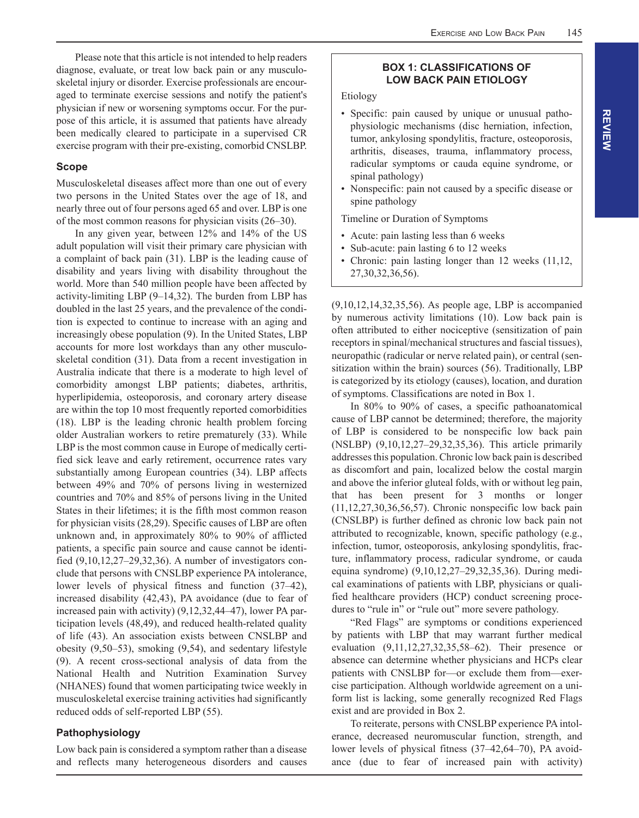Please note that this article is not intended to help readers diagnose, evaluate, or treat low back pain or any musculoskeletal injury or disorder. Exercise professionals are encouraged to terminate exercise sessions and notify the patient's physician if new or worsening symptoms occur. For the purpose of this article, it is assumed that patients have already been medically cleared to participate in a supervised CR exercise program with their pre-existing, comorbid CNSLBP.

#### **Scope**

Musculoskeletal diseases affect more than one out of every two persons in the United States over the age of 18, and nearly three out of four persons aged 65 and over. LBP is one of the most common reasons for physician visits (26–30).

In any given year, between 12% and 14% of the US adult population will visit their primary care physician with a complaint of back pain (31). LBP is the leading cause of disability and years living with disability throughout the world. More than 540 million people have been affected by activity-limiting LBP (9–14,32). The burden from LBP has doubled in the last 25 years, and the prevalence of the condition is expected to continue to increase with an aging and increasingly obese population (9). In the United States, LBP accounts for more lost workdays than any other musculoskeletal condition (31). Data from a recent investigation in Australia indicate that there is a moderate to high level of comorbidity amongst LBP patients; diabetes, arthritis, hyperlipidemia, osteoporosis, and coronary artery disease are within the top 10 most frequently reported comorbidities (18). LBP is the leading chronic health problem forcing older Australian workers to retire prematurely (33). While LBP is the most common cause in Europe of medically certified sick leave and early retirement, occurrence rates vary substantially among European countries (34). LBP affects between 49% and 70% of persons living in westernized countries and 70% and 85% of persons living in the United States in their lifetimes; it is the fifth most common reason for physician visits (28,29). Specific causes of LBP are often unknown and, in approximately 80% to 90% of afflicted patients, a specific pain source and cause cannot be identified (9,10,12,27–29,32,36). A number of investigators conclude that persons with CNSLBP experience PA intolerance, lower levels of physical fitness and function (37–42), increased disability (42,43), PA avoidance (due to fear of increased pain with activity) (9,12,32,44–47), lower PA participation levels (48,49), and reduced health-related quality of life (43). An association exists between CNSLBP and obesity (9,50–53), smoking (9,54), and sedentary lifestyle (9). A recent cross-sectional analysis of data from the National Health and Nutrition Examination Survey (NHANES) found that women participating twice weekly in musculoskeletal exercise training activities had significantly reduced odds of self-reported LBP (55).

#### **Pathophysiology**

Low back pain is considered a symptom rather than a disease and reflects many heterogeneous disorders and causes

#### **BOX 1: CLASSIFICATIONS OF LOW BACK PAIN ETIOLOGY**

Etiology

- Specific: pain caused by unique or unusual pathophysiologic mechanisms (disc herniation, infection, tumor, ankylosing spondylitis, fracture, osteoporosis, arthritis, diseases, trauma, inflammatory process, radicular symptoms or cauda equine syndrome, or spinal pathology)
- Nonspecific: pain not caused by a specific disease or spine pathology

Timeline or Duration of Symptoms

- Acute: pain lasting less than 6 weeks
- Sub-acute: pain lasting 6 to 12 weeks
- Chronic: pain lasting longer than 12 weeks (11,12, 27,30,32,36,56).

(9,10,12,14,32,35,56). As people age, LBP is accompanied by numerous activity limitations (10). Low back pain is often attributed to either nociceptive (sensitization of pain receptors in spinal/mechanical structures and fascial tissues), neuropathic (radicular or nerve related pain), or central (sensitization within the brain) sources (56). Traditionally, LBP is categorized by its etiology (causes), location, and duration of symptoms. Classifications are noted in Box 1.

In 80% to 90% of cases, a specific pathoanatomical cause of LBP cannot be determined; therefore, the majority of LBP is considered to be nonspecific low back pain (NSLBP) (9,10,12,27–29,32,35,36). This article primarily addresses this population. Chronic low back pain is described as discomfort and pain, localized below the costal margin and above the inferior gluteal folds, with or without leg pain, that has been present for 3 months or longer (11,12,27,30,36,56,57). Chronic nonspecific low back pain (CNSLBP) is further defined as chronic low back pain not attributed to recognizable, known, specific pathology (e.g., infection, tumor, osteoporosis, ankylosing spondylitis, fracture, inflammatory process, radicular syndrome, or cauda equina syndrome) (9,10,12,27–29,32,35,36). During medical examinations of patients with LBP, physicians or qualified healthcare providers (HCP) conduct screening procedures to "rule in" or "rule out" more severe pathology.

"Red Flags" are symptoms or conditions experienced by patients with LBP that may warrant further medical evaluation (9,11,12,27,32,35,58–62). Their presence or absence can determine whether physicians and HCPs clear patients with CNSLBP for—or exclude them from—exercise participation. Although worldwide agreement on a uniform list is lacking, some generally recognized Red Flags exist and are provided in Box 2.

To reiterate, persons with CNSLBP experience PA intolerance, decreased neuromuscular function, strength, and lower levels of physical fitness (37–42,64–70), PA avoidance (due to fear of increased pain with activity)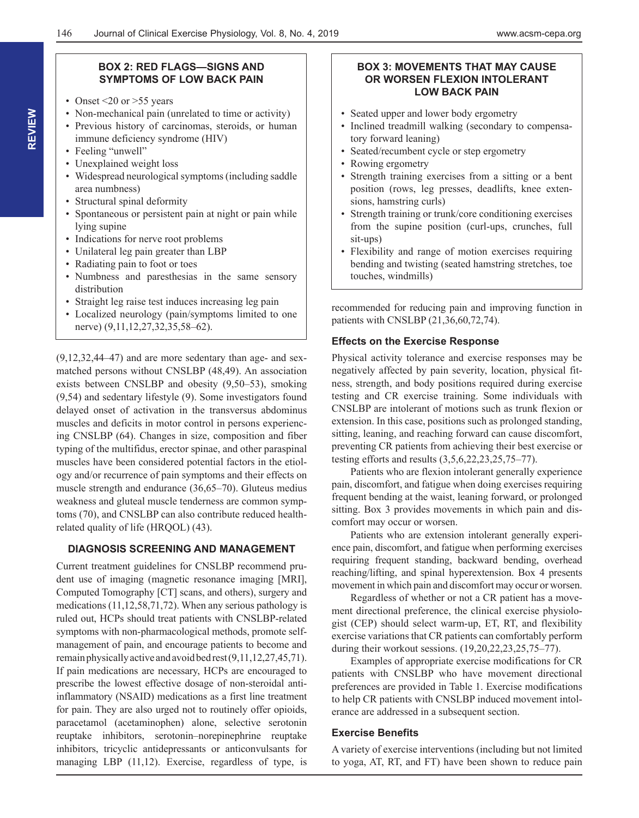#### **BOX 2: RED FLAGS—SIGNS AND SYMPTOMS OF LOW BACK PAIN**

- Onset  $\leq$  20 or  $>$  55 years
- Non-mechanical pain (unrelated to time or activity)
- Previous history of carcinomas, steroids, or human immune deficiency syndrome (HIV)
- Feeling "unwell"
- Unexplained weight loss
- Widespread neurological symptoms (including saddle area numbness)
- Structural spinal deformity
- Spontaneous or persistent pain at night or pain while lying supine
- Indications for nerve root problems
- Unilateral leg pain greater than LBP
- Radiating pain to foot or toes
- Numbness and paresthesias in the same sensory distribution
- Straight leg raise test induces increasing leg pain
- Localized neurology (pain/symptoms limited to one nerve) (9,11,12,27,32,35,58–62).

(9,12,32,44–47) and are more sedentary than age- and sexmatched persons without CNSLBP (48,49). An association exists between CNSLBP and obesity (9,50–53), smoking (9,54) and sedentary lifestyle (9). Some investigators found delayed onset of activation in the transversus abdominus muscles and deficits in motor control in persons experiencing CNSLBP (64). Changes in size, composition and fiber typing of the multifidus, erector spinae, and other paraspinal muscles have been considered potential factors in the etiology and/or recurrence of pain symptoms and their effects on muscle strength and endurance (36,65–70). Gluteus medius weakness and gluteal muscle tenderness are common symptoms (70), and CNSLBP can also contribute reduced healthrelated quality of life (HRQOL) (43).

#### **DIAGNOSIS SCREENING AND MANAGEMENT**

Current treatment guidelines for CNSLBP recommend prudent use of imaging (magnetic resonance imaging [MRI], Computed Tomography [CT] scans, and others), surgery and medications (11,12,58,71,72). When any serious pathology is ruled out, HCPs should treat patients with CNSLBP-related symptoms with non-pharmacological methods, promote selfmanagement of pain, and encourage patients to become and remain physically active and avoid bed rest (9,11,12,27,45,71). If pain medications are necessary, HCPs are encouraged to prescribe the lowest effective dosage of non-steroidal antiinflammatory (NSAID) medications as a first line treatment for pain. They are also urged not to routinely offer opioids, paracetamol (acetaminophen) alone, selective serotonin reuptake inhibitors, serotonin–norepinephrine reuptake inhibitors, tricyclic antidepressants or anticonvulsants for managing LBP (11,12). Exercise, regardless of type, is

#### **BOX 3: MOVEMENTS THAT MAY CAUSE OR WORSEN FLEXION INTOLERANT LOW BACK PAIN**

- Seated upper and lower body ergometry
- Inclined treadmill walking (secondary to compensatory forward leaning)
- Seated/recumbent cycle or step ergometry
- Rowing ergometry
- Strength training exercises from a sitting or a bent position (rows, leg presses, deadlifts, knee extensions, hamstring curls)
- Strength training or trunk/core conditioning exercises from the supine position (curl-ups, crunches, full sit-ups)
- Flexibility and range of motion exercises requiring bending and twisting (seated hamstring stretches, toe touches, windmills)

recommended for reducing pain and improving function in patients with CNSLBP (21,36,60,72,74).

#### **Effects on the Exercise Response**

Physical activity tolerance and exercise responses may be negatively affected by pain severity, location, physical fitness, strength, and body positions required during exercise testing and CR exercise training. Some individuals with CNSLBP are intolerant of motions such as trunk flexion or extension. In this case, positions such as prolonged standing, sitting, leaning, and reaching forward can cause discomfort, preventing CR patients from achieving their best exercise or testing efforts and results (3,5,6,22,23,25,75–77).

Patients who are flexion intolerant generally experience pain, discomfort, and fatigue when doing exercises requiring frequent bending at the waist, leaning forward, or prolonged sitting. Box 3 provides movements in which pain and discomfort may occur or worsen.

Patients who are extension intolerant generally experience pain, discomfort, and fatigue when performing exercises requiring frequent standing, backward bending, overhead reaching/lifting, and spinal hyperextension. Box 4 presents movement in which pain and discomfort may occur or worsen.

Regardless of whether or not a CR patient has a movement directional preference, the clinical exercise physiologist (CEP) should select warm-up, ET, RT, and flexibility exercise variations that CR patients can comfortably perform during their workout sessions. (19,20,22,23,25,75–77).

Examples of appropriate exercise modifications for CR patients with CNSLBP who have movement directional preferences are provided in Table 1. Exercise modifications to help CR patients with CNSLBP induced movement intolerance are addressed in a subsequent section.

#### **Exercise Benefits**

A variety of exercise interventions (including but not limited to yoga, AT, RT, and FT) have been shown to reduce pain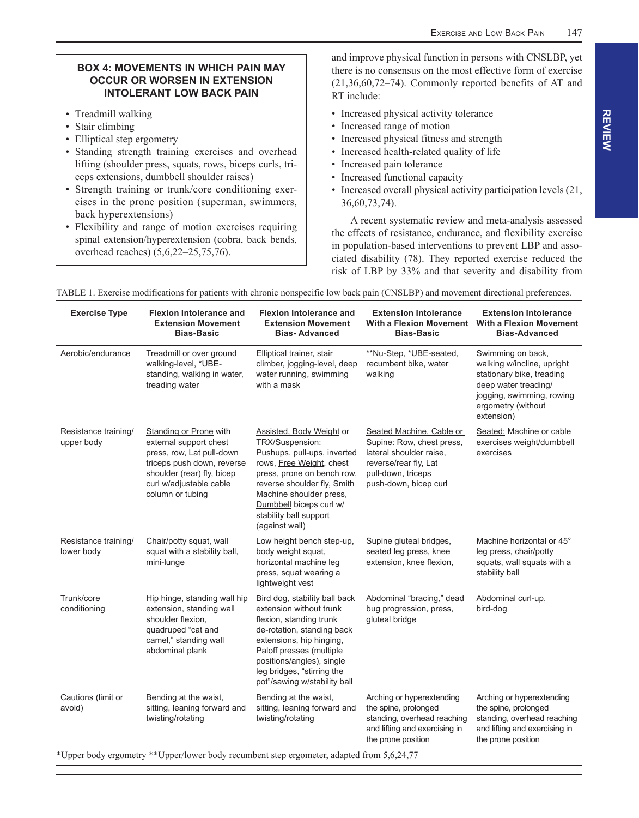#### **BOX 4: MOVEMENTS IN WHICH PAIN MAY OCCUR OR WORSEN IN EXTENSION INTOLERANT LOW BACK PAIN**

- Treadmill walking
- Stair climbing
- Elliptical step ergometry
- Standing strength training exercises and overhead lifting (shoulder press, squats, rows, biceps curls, triceps extensions, dumbbell shoulder raises)
- Strength training or trunk/core conditioning exercises in the prone position (superman, swimmers, back hyperextensions)
- Flexibility and range of motion exercises requiring spinal extension/hyperextension (cobra, back bends, overhead reaches) (5,6,22–25,75,76).

and improve physical function in persons with CNSLBP, yet there is no consensus on the most effective form of exercise (21,36,60,72–74). Commonly reported benefits of AT and RT include:

- Increased physical activity tolerance
- Increased range of motion
- Increased physical fitness and strength
- Increased health-related quality of life
- Increased pain tolerance
- Increased functional capacity
- Increased overall physical activity participation levels (21, 36,60,73,74).

A recent systematic review and meta-analysis assessed the effects of resistance, endurance, and flexibility exercise in population-based interventions to prevent LBP and associated disability (78). They reported exercise reduced the risk of LBP by 33% and that severity and disability from

| <b>Exercise Type</b>               | <b>Flexion Intolerance and</b><br><b>Extension Movement</b><br><b>Bias-Basic</b>                                                                                                         | <b>Flexion Intolerance and</b><br><b>Extension Movement</b><br><b>Bias-Advanced</b>                                                                                                                                                                                   | <b>Extension Intolerance</b><br>With a Flexion Movement<br><b>Bias-Basic</b>                                                                             | <b>Extension Intolerance</b><br><b>With a Flexion Movement</b><br><b>Bias-Advanced</b>                                                                                |
|------------------------------------|------------------------------------------------------------------------------------------------------------------------------------------------------------------------------------------|-----------------------------------------------------------------------------------------------------------------------------------------------------------------------------------------------------------------------------------------------------------------------|----------------------------------------------------------------------------------------------------------------------------------------------------------|-----------------------------------------------------------------------------------------------------------------------------------------------------------------------|
| Aerobic/endurance                  | Treadmill or over ground<br>walking-level, *UBE-<br>standing, walking in water,<br>treading water                                                                                        | Elliptical trainer, stair<br>climber, jogging-level, deep<br>water running, swimming<br>with a mask                                                                                                                                                                   | **Nu-Step, *UBE-seated,<br>recumbent bike, water<br>walking                                                                                              | Swimming on back,<br>walking w/incline, upright<br>stationary bike, treading<br>deep water treading/<br>jogging, swimming, rowing<br>ergometry (without<br>extension) |
| Resistance training/<br>upper body | Standing or Prone with<br>external support chest<br>press, row, Lat pull-down<br>triceps push down, reverse<br>shoulder (rear) fly, bicep<br>curl w/adjustable cable<br>column or tubing | Assisted, Body Weight or<br>TRX/Suspension:<br>Pushups, pull-ups, inverted<br>rows, Free Weight, chest<br>press, prone on bench row,<br>reverse shoulder fly, Smith<br>Machine shoulder press,<br>Dumbbell biceps curl w/<br>stability ball support<br>(against wall) | Seated Machine, Cable or<br>Supine: Row, chest press,<br>lateral shoulder raise.<br>reverse/rear fly, Lat<br>pull-down, triceps<br>push-down, bicep curl | Seated: Machine or cable<br>exercises weight/dumbbell<br>exercises                                                                                                    |
| Resistance training/<br>lower body | Chair/potty squat, wall<br>squat with a stability ball,<br>mini-lunge                                                                                                                    | Low height bench step-up,<br>body weight squat,<br>horizontal machine leg<br>press, squat wearing a<br>lightweight vest                                                                                                                                               | Supine gluteal bridges,<br>seated leg press, knee<br>extension, knee flexion,                                                                            | Machine horizontal or 45°<br>leg press, chair/potty<br>squats, wall squats with a<br>stability ball                                                                   |
| Trunk/core<br>conditioning         | Hip hinge, standing wall hip<br>extension, standing wall<br>shoulder flexion,<br>quadruped "cat and<br>camel," standing wall<br>abdominal plank                                          | Bird dog, stability ball back<br>extension without trunk<br>flexion, standing trunk<br>de-rotation, standing back<br>extensions, hip hinging,<br>Paloff presses (multiple<br>positions/angles), single<br>leg bridges, "stirring the<br>pot"/sawing w/stability ball  | Abdominal "bracing," dead<br>bug progression, press,<br>gluteal bridge                                                                                   | Abdominal curl-up,<br>bird-dog                                                                                                                                        |
| Cautions (limit or<br>avoid)       | Bending at the waist,<br>sitting, leaning forward and<br>twisting/rotating                                                                                                               | Bending at the waist.<br>sitting, leaning forward and<br>twisting/rotating                                                                                                                                                                                            | Arching or hyperextending<br>the spine, prolonged<br>standing, overhead reaching<br>and lifting and exercising in<br>the prone position                  | Arching or hyperextending<br>the spine, prolonged<br>standing, overhead reaching<br>and lifting and exercising in<br>the prone position                               |

TABLE 1. Exercise modifications for patients with chronic nonspecific low back pain (CNSLBP) and movement directional preferences.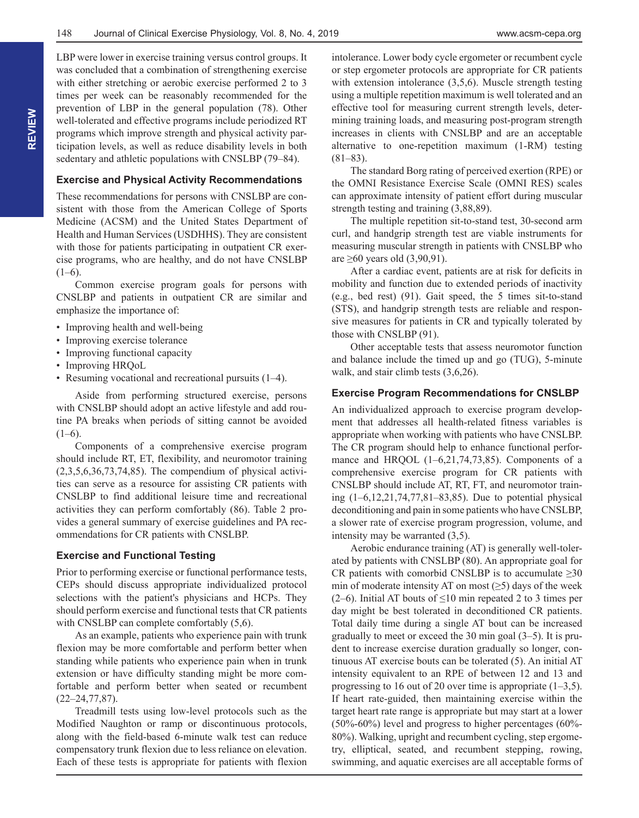LBP were lower in exercise training versus control groups. It was concluded that a combination of strengthening exercise with either stretching or aerobic exercise performed 2 to 3 times per week can be reasonably recommended for the prevention of LBP in the general population (78). Other well-tolerated and effective programs include periodized RT programs which improve strength and physical activity participation levels, as well as reduce disability levels in both sedentary and athletic populations with CNSLBP (79–84).

#### **Exercise and Physical Activity Recommendations**

These recommendations for persons with CNSLBP are consistent with those from the American College of Sports Medicine (ACSM) and the United States Department of Health and Human Services (USDHHS). They are consistent with those for patients participating in outpatient CR exercise programs, who are healthy, and do not have CNSLBP  $(1-6)$ .

Common exercise program goals for persons with CNSLBP and patients in outpatient CR are similar and emphasize the importance of:

- Improving health and well-being
- Improving exercise tolerance
- Improving functional capacity
- Improving HRQoL
- Resuming vocational and recreational pursuits (1–4).

Aside from performing structured exercise, persons with CNSLBP should adopt an active lifestyle and add routine PA breaks when periods of sitting cannot be avoided  $(1-6)$ .

Components of a comprehensive exercise program should include RT, ET, flexibility, and neuromotor training (2,3,5,6,36,73,74,85). The compendium of physical activities can serve as a resource for assisting CR patients with CNSLBP to find additional leisure time and recreational activities they can perform comfortably (86). Table 2 provides a general summary of exercise guidelines and PA recommendations for CR patients with CNSLBP.

#### **Exercise and Functional Testing**

Prior to performing exercise or functional performance tests, CEPs should discuss appropriate individualized protocol selections with the patient's physicians and HCPs. They should perform exercise and functional tests that CR patients with CNSLBP can complete comfortably  $(5,6)$ .

As an example, patients who experience pain with trunk flexion may be more comfortable and perform better when standing while patients who experience pain when in trunk extension or have difficulty standing might be more comfortable and perform better when seated or recumbent (22–24,77,87).

Treadmill tests using low-level protocols such as the Modified Naughton or ramp or discontinuous protocols, along with the field-based 6-minute walk test can reduce compensatory trunk flexion due to less reliance on elevation. Each of these tests is appropriate for patients with flexion intolerance. Lower body cycle ergometer or recumbent cycle or step ergometer protocols are appropriate for CR patients with extension intolerance  $(3,5,6)$ . Muscle strength testing using a multiple repetition maximum is well tolerated and an effective tool for measuring current strength levels, determining training loads, and measuring post-program strength increases in clients with CNSLBP and are an acceptable alternative to one-repetition maximum (1-RM) testing (81–83).

The standard Borg rating of perceived exertion (RPE) or the OMNI Resistance Exercise Scale (OMNI RES) scales can approximate intensity of patient effort during muscular strength testing and training (3,88,89).

The multiple repetition sit-to-stand test, 30-second arm curl, and handgrip strength test are viable instruments for measuring muscular strength in patients with CNSLBP who are ≥60 years old  $(3,90,91)$ .

After a cardiac event, patients are at risk for deficits in mobility and function due to extended periods of inactivity (e.g., bed rest) (91). Gait speed, the 5 times sit-to-stand (STS), and handgrip strength tests are reliable and responsive measures for patients in CR and typically tolerated by those with CNSLBP (91).

Other acceptable tests that assess neuromotor function and balance include the timed up and go (TUG), 5-minute walk, and stair climb tests (3,6,26).

#### **Exercise Program Recommendations for CNSLBP**

An individualized approach to exercise program development that addresses all health-related fitness variables is appropriate when working with patients who have CNSLBP. The CR program should help to enhance functional performance and HRQOL (1–6,21,74,73,85). Components of a comprehensive exercise program for CR patients with CNSLBP should include AT, RT, FT, and neuromotor training (1–6,12,21,74,77,81–83,85). Due to potential physical deconditioning and pain in some patients who have CNSLBP, a slower rate of exercise program progression, volume, and intensity may be warranted (3,5).

Aerobic endurance training (AT) is generally well-tolerated by patients with CNSLBP (80). An appropriate goal for CR patients with comorbid CNSLBP is to accumulate  $\geq 30$ min of moderate intensity AT on most  $(\geq 5)$  days of the week (2–6). Initial AT bouts of  $\leq 10$  min repeated 2 to 3 times per day might be best tolerated in deconditioned CR patients. Total daily time during a single AT bout can be increased gradually to meet or exceed the 30 min goal (3–5). It is prudent to increase exercise duration gradually so longer, continuous AT exercise bouts can be tolerated (5). An initial AT intensity equivalent to an RPE of between 12 and 13 and progressing to 16 out of 20 over time is appropriate  $(1-3,5)$ . If heart rate-guided, then maintaining exercise within the target heart rate range is appropriate but may start at a lower (50%-60%) level and progress to higher percentages (60%- 80%). Walking, upright and recumbent cycling, step ergometry, elliptical, seated, and recumbent stepping, rowing, swimming, and aquatic exercises are all acceptable forms of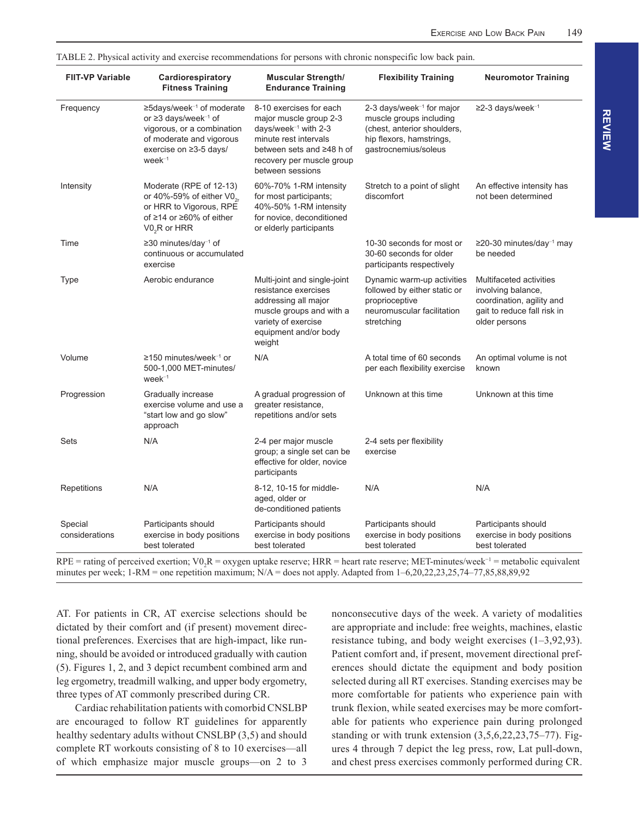| <b>FIIT-VP Variable</b>   | Cardiorespiratory<br><b>Fitness Training</b>                                                                                                                                                   | <b>Muscular Strength/</b><br><b>Endurance Training</b>                                                                                                                                 | <b>Flexibility Training</b>                                                                                                                         | <b>Neuromotor Training</b>                                                                                                 |
|---------------------------|------------------------------------------------------------------------------------------------------------------------------------------------------------------------------------------------|----------------------------------------------------------------------------------------------------------------------------------------------------------------------------------------|-----------------------------------------------------------------------------------------------------------------------------------------------------|----------------------------------------------------------------------------------------------------------------------------|
| Frequency                 | $\geq$ 5days/week <sup>-1</sup> of moderate<br>or $\geq$ 3 days/week <sup>-1</sup> of<br>vigorous, or a combination<br>of moderate and vigorous<br>exercise on $\geq$ 3-5 days/<br>$week^{-1}$ | 8-10 exercises for each<br>major muscle group 2-3<br>days/week $^{-1}$ with 2-3<br>minute rest intervals<br>between sets and ≥48 h of<br>recovery per muscle group<br>between sessions | 2-3 days/week <sup>-1</sup> for major<br>muscle groups including<br>(chest, anterior shoulders,<br>hip flexors, hamstrings,<br>gastrocnemius/soleus | $\geq$ 2-3 days/week <sup>-1</sup>                                                                                         |
| Intensity                 | Moderate (RPE of 12-13)<br>or 40%-59% of either $VO_{2r}$<br>or HRR to Vigorous, RPE<br>of $\geq$ 14 or $\geq$ 60% of either<br>$VO2R$ or HRR                                                  | 60%-70% 1-RM intensity<br>for most participants;<br>40%-50% 1-RM intensity<br>for novice, deconditioned<br>or elderly participants                                                     | Stretch to a point of slight<br>discomfort                                                                                                          | An effective intensity has<br>not been determined                                                                          |
| Time                      | $\geq$ 30 minutes/day <sup>-1</sup> of<br>continuous or accumulated<br>exercise                                                                                                                |                                                                                                                                                                                        | 10-30 seconds for most or<br>30-60 seconds for older<br>participants respectively                                                                   | $\geq$ 20-30 minutes/day <sup>-1</sup> may<br>be needed                                                                    |
| <b>Type</b>               | Aerobic endurance                                                                                                                                                                              | Multi-joint and single-joint<br>resistance exercises<br>addressing all major<br>muscle groups and with a<br>variety of exercise<br>equipment and/or body<br>weight                     | Dynamic warm-up activities<br>followed by either static or<br>proprioceptive<br>neuromuscular facilitation<br>stretching                            | Multifaceted activities<br>involving balance,<br>coordination, agility and<br>gait to reduce fall risk in<br>older persons |
| Volume                    | ≥150 minutes/week <sup>-1</sup> or<br>500-1,000 MET-minutes/<br>$week^{-1}$                                                                                                                    | N/A                                                                                                                                                                                    | A total time of 60 seconds<br>per each flexibility exercise                                                                                         | An optimal volume is not<br>known                                                                                          |
| Progression               | Gradually increase<br>exercise volume and use a<br>"start low and go slow"<br>approach                                                                                                         | A gradual progression of<br>greater resistance,<br>repetitions and/or sets                                                                                                             | Unknown at this time                                                                                                                                | Unknown at this time                                                                                                       |
| Sets                      | N/A                                                                                                                                                                                            | 2-4 per major muscle<br>group; a single set can be<br>effective for older, novice<br>participants                                                                                      | 2-4 sets per flexibility<br>exercise                                                                                                                |                                                                                                                            |
| Repetitions               | N/A                                                                                                                                                                                            | 8-12, 10-15 for middle-<br>aged, older or<br>de-conditioned patients                                                                                                                   | N/A                                                                                                                                                 | N/A                                                                                                                        |
| Special<br>considerations | Participants should<br>exercise in body positions<br>best tolerated                                                                                                                            | Participants should<br>exercise in body positions<br>best tolerated                                                                                                                    | Participants should<br>exercise in body positions<br>best tolerated                                                                                 | Participants should<br>exercise in body positions<br>best tolerated                                                        |

TABLE 2. Physical activity and exercise recommendations for persons with chronic nonspecific low back pain.

AT. For patients in CR, AT exercise selections should be dictated by their comfort and (if present) movement directional preferences. Exercises that are high-impact, like running, should be avoided or introduced gradually with caution (5). Figures 1, 2, and 3 depict recumbent combined arm and leg ergometry, treadmill walking, and upper body ergometry, three types of AT commonly prescribed during CR.

Cardiac rehabilitation patients with comorbid CNSLBP are encouraged to follow RT guidelines for apparently healthy sedentary adults without CNSLBP (3,5) and should complete RT workouts consisting of 8 to 10 exercises—all of which emphasize major muscle groups—on 2 to 3 nonconsecutive days of the week. A variety of modalities are appropriate and include: free weights, machines, elastic resistance tubing, and body weight exercises (1–3,92,93). Patient comfort and, if present, movement directional preferences should dictate the equipment and body position selected during all RT exercises. Standing exercises may be more comfortable for patients who experience pain with trunk flexion, while seated exercises may be more comfortable for patients who experience pain during prolonged standing or with trunk extension (3,5,6,22,23,75–77). Figures 4 through 7 depict the leg press, row, Lat pull-down, and chest press exercises commonly performed during CR.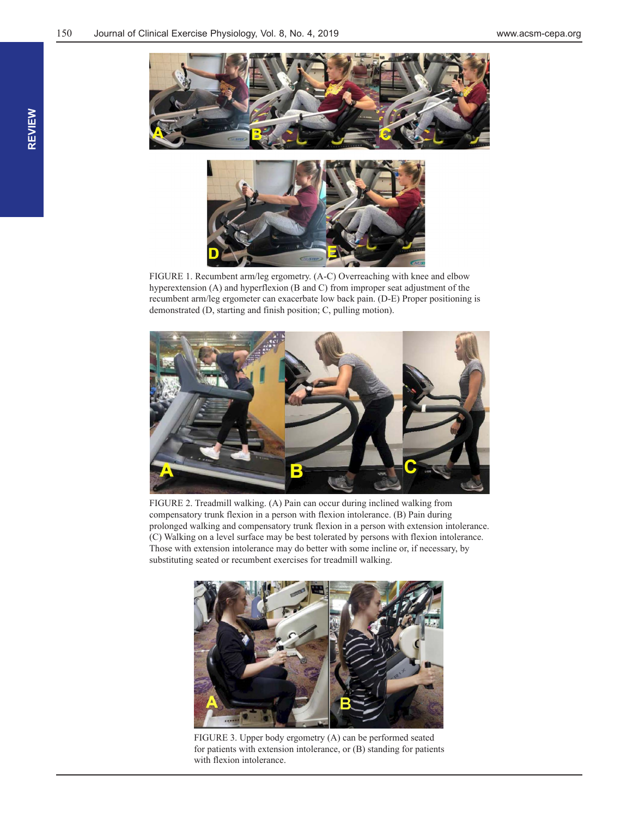



FIGURE 1. Recumbent arm/leg ergometry. (A-C) Overreaching with knee and elbow hyperextension (A) and hyperflexion (B and C) from improper seat adjustment of the recumbent arm/leg ergometer can exacerbate low back pain. (D-E) Proper positioning is demonstrated (D, starting and finish position; C, pulling motion).



FIGURE 2. Treadmill walking. (A) Pain can occur during inclined walking from compensatory trunk flexion in a person with flexion intolerance. (B) Pain during prolonged walking and compensatory trunk flexion in a person with extension intolerance. (C) Walking on a level surface may be best tolerated by persons with flexion intolerance. Those with extension intolerance may do better with some incline or, if necessary, by substituting seated or recumbent exercises for treadmill walking.



FIGURE 3. Upper body ergometry (A) can be performed seated for patients with extension intolerance, or (B) standing for patients with flexion intolerance.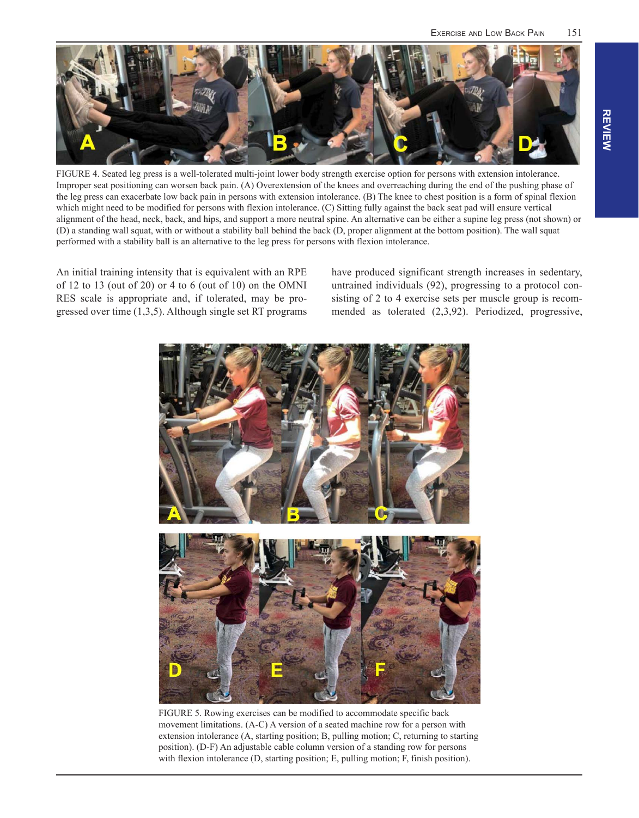

FIGURE 4. Seated leg press is a well-tolerated multi-joint lower body strength exercise option for persons with extension intolerance. Improper seat positioning can worsen back pain. (A) Overextension of the knees and overreaching during the end of the pushing phase of the leg press can exacerbate low back pain in persons with extension intolerance. (B) The knee to chest position is a form of spinal flexion which might need to be modified for persons with flexion intolerance. (C) Sitting fully against the back seat pad will ensure vertical alignment of the head, neck, back, and hips, and support a more neutral spine. An alternative can be either a supine leg press (not shown) or (D) a standing wall squat, with or without a stability ball behind the back (D, proper alignment at the bottom position). The wall squat performed with a stability ball is an alternative to the leg press for persons with flexion intolerance.

An initial training intensity that is equivalent with an RPE of 12 to 13 (out of 20) or 4 to 6 (out of 10) on the OMNI RES scale is appropriate and, if tolerated, may be progressed over time (1,3,5). Although single set RT programs have produced significant strength increases in sedentary, untrained individuals (92), progressing to a protocol consisting of 2 to 4 exercise sets per muscle group is recommended as tolerated (2,3,92). Periodized, progressive,



FIGURE 5. Rowing exercises can be modified to accommodate specific back movement limitations. (A-C) A version of a seated machine row for a person with extension intolerance (A, starting position; B, pulling motion; C, returning to starting position). (D-F) An adjustable cable column version of a standing row for persons with flexion intolerance (D, starting position; E, pulling motion; F, finish position).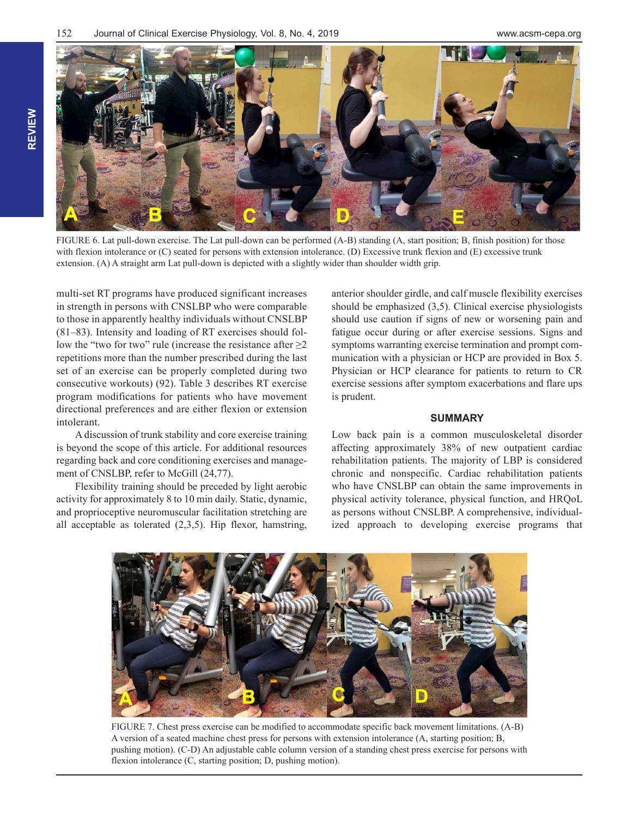

FIGURE 6. Lat pull-down exercise. The Lat pull-down can be performed (A-B) standing (A, start position; B, finish position) for those with flexion intolerance or (C) seated for persons with extension intolerance. (D) Excessive trunk flexion and (E) excessive trunk extension. (A) A straight arm Lat pull-down is depicted with a slightly wider than shoulder width grip.

multi-set RT programs have produced significant increases in strength in persons with CNSLBP who were comparable to those in apparently healthy individuals without CNSLBP (81–83). Intensity and loading of RT exercises should follow the "two for two" rule (increase the resistance after  $\geq$ 2 repetitions more than the number prescribed during the last set of an exercise can be properly completed during two consecutive workouts) (92). Table 3 describes RT exercise program modifications for patients who have movement directional preferences and are either flexion or extension intolerant.

A discussion of trunk stability and core exercise training is beyond the scope of this article. For additional resources regarding back and core conditioning exercises and management of CNSLBP, refer to McGill  $(24,77)$ .

Flexibility training should be preceded by light aerobic activity for approximately 8 to 10 min daily. Static, dynamic, and proprioceptive neuromuscular facilitation stretching are all acceptable as tolerated (2,3,5). Hip flexor, hamstring, anterior shoulder girdle, and calf muscle flexibility exercises should be emphasized (3,5). Clinical exercise physiologists should use caution if signs of new or worsening pain and fatigue occur during or after exercise sessions. Signs and symptoms warranting exercise termination and prompt communication with a physician or HCP are provided in Box 5. Physician or HCP clearance for patients to return to CR exercise sessions after symptom exacerbations and flare ups is prudent.

#### **SUMMARY**

Low back pain is a common musculoskeletal disorder affecting approximately 38% of new outpatient cardiac rehabilitation patients. The majority of LBP is considered chronic and nonspecific. Cardiac rehabilitation patients who have CNSLBP can obtain the same improvements in physical activity tolerance, physical function, and HRQoL as persons without CNSLBP. A comprehensive, individualized approach to developing exercise programs that



FIGURE 7. Chest press exercise can be modified to accommodate specific back movement limitations. (A-B) A version of a seated machine chest press for persons with extension intolerance (A, starting position; B, pushing motion). (C-D) An adjustable cable column version of a standing chest press exercise for persons with flexion intolerance (C, starting position; D, pushing motion).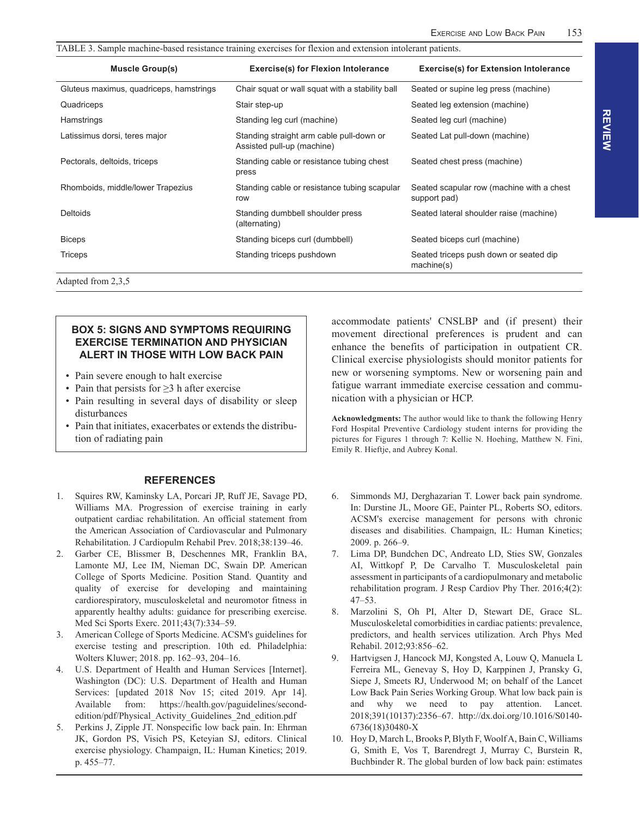| <b>Exercise(s) for Flexion Intolerance</b>                             | <b>Exercise(s) for Extension Intolerance</b>              |  |
|------------------------------------------------------------------------|-----------------------------------------------------------|--|
| Chair squat or wall squat with a stability ball                        | Seated or supine leg press (machine)                      |  |
| Stair step-up                                                          | Seated leg extension (machine)                            |  |
| Standing leg curl (machine)                                            | Seated leg curl (machine)                                 |  |
| Standing straight arm cable pull-down or<br>Assisted pull-up (machine) | Seated Lat pull-down (machine)                            |  |
| Standing cable or resistance tubing chest<br>press                     | Seated chest press (machine)                              |  |
| Standing cable or resistance tubing scapular<br>row                    | Seated scapular row (machine with a chest<br>support pad) |  |
| Standing dumbbell shoulder press<br>(alternating)                      | Seated lateral shoulder raise (machine)                   |  |
| Standing biceps curl (dumbbell)                                        | Seated biceps curl (machine)                              |  |
| Standing triceps pushdown                                              | Seated triceps push down or seated dip<br>machine(s)      |  |
|                                                                        |                                                           |  |

Adapted from 2,3,5

#### **BOX 5: SIGNS AND SYMPTOMS REQUIRING EXERCISE TERMINATION AND PHYSICIAN ALERT IN THOSE WITH LOW BACK PAIN**

- Pain severe enough to halt exercise
- Pain that persists for ≥3 h after exercise
- Pain resulting in several days of disability or sleep disturbances
- Pain that initiates, exacerbates or extends the distribution of radiating pain

#### **REFERENCES**

- 1. Squires RW, Kaminsky LA, Porcari JP, Ruff JE, Savage PD, Williams MA. Progression of exercise training in early outpatient cardiac rehabilitation. An official statement from the American Association of Cardiovascular and Pulmonary Rehabilitation. J Cardiopulm Rehabil Prev. 2018;38:139–46.
- 2. Garber CE, Blissmer B, Deschennes MR, Franklin BA, Lamonte MJ, Lee IM, Nieman DC, Swain DP. American College of Sports Medicine. Position Stand. Quantity and quality of exercise for developing and maintaining cardiorespiratory, musculoskeletal and neuromotor fitness in apparently healthy adults: guidance for prescribing exercise. Med Sci Sports Exerc. 2011;43(7):334–59.
- 3. American College of Sports Medicine. ACSM's guidelines for exercise testing and prescription. 10th ed. Philadelphia: Wolters Kluwer; 2018. pp. 162–93, 204–16.
- U.S. Department of Health and Human Services [Internet]. Washington (DC): U.S. Department of Health and Human Services: [updated 2018 Nov 15; cited 2019. Apr 14]. Available from: https://health.gov/paguidelines/secondedition/pdf/Physical\_Activity\_Guidelines\_2nd\_edition.pdf
- 5. Perkins J, Zipple JT. Nonspecific low back pain. In: Ehrman JK, Gordon PS, Visich PS, Keteyian SJ, editors. Clinical exercise physiology. Champaign, IL: Human Kinetics; 2019. p. 455–77.

accommodate patients' CNSLBP and (if present) their movement directional preferences is prudent and can enhance the benefits of participation in outpatient CR. Clinical exercise physiologists should monitor patients for new or worsening symptoms. New or worsening pain and fatigue warrant immediate exercise cessation and communication with a physician or HCP.

**Acknowledgments:** The author would like to thank the following Henry Ford Hospital Preventive Cardiology student interns for providing the pictures for Figures 1 through 7: Kellie N. Hoehing, Matthew N. Fini, Emily R. Hieftje, and Aubrey Konal.

- 6. Simmonds MJ, Derghazarian T. Lower back pain syndrome. In: Durstine JL, Moore GE, Painter PL, Roberts SO, editors. ACSM's exercise management for persons with chronic diseases and disabilities. Champaign, IL: Human Kinetics; 2009. p. 266–9.
- 7. Lima DP, Bundchen DC, Andreato LD, Sties SW, Gonzales AI, Wittkopf P, De Carvalho T. Musculoskeletal pain assessment in participants of a cardiopulmonary and metabolic rehabilitation program. J Resp Cardiov Phy Ther. 2016;4(2): 47–53.
- 8. Marzolini S, Oh PI, Alter D, Stewart DE, Grace SL. Musculoskeletal comorbidities in cardiac patients: prevalence, predictors, and health services utilization. Arch Phys Med Rehabil. 2012;93:856–62.
- 9. Hartvigsen J, Hancock MJ, Kongsted A, Louw Q, Manuela L Ferreira ML, Genevay S, Hoy D, Karppinen J, Pransky G, Siepe J, Smeets RJ, Underwood M; on behalf of the Lancet Low Back Pain Series Working Group. What low back pain is and why we need to pay attention. Lancet. 2018;391(10137):2356–67. http://dx.doi.org/10.1016/S0140- 6736(18)30480-X
- 10. Hoy D, March L, Brooks P, Blyth F, Woolf A, Bain C, Williams G, Smith E, Vos T, Barendregt J, Murray C, Burstein R, Buchbinder R. The global burden of low back pain: estimates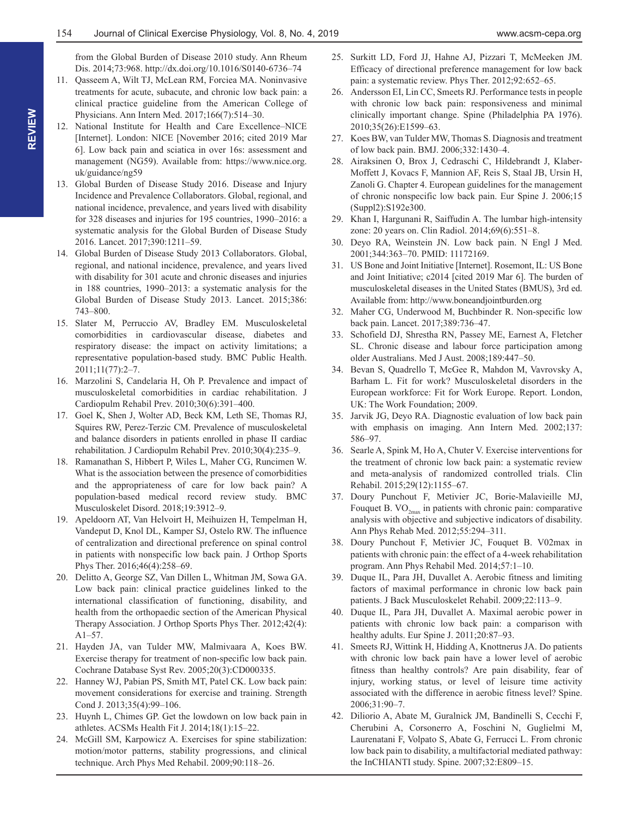from the Global Burden of Disease 2010 study. Ann Rheum Dis. 2014;73:968. http://dx.doi.org/10.1016/S0140-6736–74

- 11. Qasseem A, Wilt TJ, McLean RM, Forciea MA. Noninvasive treatments for acute, subacute, and chronic low back pain: a clinical practice guideline from the American College of Physicians. Ann Intern Med. 2017;166(7):514–30.
- 12. National Institute for Health and Care Excellence–NICE [Internet]. London: NICE [November 2016; cited 2019 Mar 6]. Low back pain and sciatica in over 16s: assessment and management (NG59). Available from: https://www.nice.org. uk/guidance/ng59
- 13. Global Burden of Disease Study 2016. Disease and Injury Incidence and Prevalence Collaborators. Global, regional, and national incidence, prevalence, and years lived with disability for 328 diseases and injuries for 195 countries, 1990–2016: a systematic analysis for the Global Burden of Disease Study 2016. Lancet. 2017;390:1211–59.
- 14. Global Burden of Disease Study 2013 Collaborators. Global, regional, and national incidence, prevalence, and years lived with disability for 301 acute and chronic diseases and injuries in 188 countries, 1990–2013: a systematic analysis for the Global Burden of Disease Study 2013. Lancet. 2015;386: 743–800.
- 15. Slater M, Perruccio AV, Bradley EM. Musculoskeletal comorbidities in cardiovascular disease, diabetes and respiratory disease: the impact on activity limitations; a representative population-based study. BMC Public Health. 2011;11(77):2–7.
- 16. Marzolini S, Candelaria H, Oh P. Prevalence and impact of musculoskeletal comorbidities in cardiac rehabilitation. J Cardiopulm Rehabil Prev. 2010;30(6):391–400.
- 17. Goel K, Shen J, Wolter AD, Beck KM, Leth SE, Thomas RJ, Squires RW, Perez-Terzic CM. Prevalence of musculoskeletal and balance disorders in patients enrolled in phase II cardiac rehabilitation. J Cardiopulm Rehabil Prev. 2010;30(4):235–9.
- 18. Ramanathan S, Hibbert P, Wiles L, Maher CG, Runcimen W. What is the association between the presence of comorbidities and the appropriateness of care for low back pain? A population-based medical record review study. BMC Musculoskelet Disord. 2018;19:3912–9.
- 19. Apeldoorn AT, Van Helvoirt H, Meihuizen H, Tempelman H, Vandeput D, Knol DL, Kamper SJ, Ostelo RW. The influence of centralization and directional preference on spinal control in patients with nonspecific low back pain. J Orthop Sports Phys Ther. 2016;46(4):258–69.
- 20. Delitto A, George SZ, Van Dillen L, Whitman JM, Sowa GA. Low back pain: clinical practice guidelines linked to the international classification of functioning, disability, and health from the orthopaedic section of the American Physical Therapy Association. J Orthop Sports Phys Ther. 2012;42(4): A1–57.
- 21. Hayden JA, van Tulder MW, Malmivaara A, Koes BW. Exercise therapy for treatment of non-specific low back pain. Cochrane Database Syst Rev. 2005;20(3):CD000335.
- 22. Hanney WJ, Pabian PS, Smith MT, Patel CK. Low back pain: movement considerations for exercise and training. Strength Cond J. 2013;35(4):99–106.
- 23. Huynh L, Chimes GP. Get the lowdown on low back pain in athletes. ACSMs Health Fit J. 2014;18(1):15–22.
- 24. McGill SM, Karpowicz A. Exercises for spine stabilization: motion/motor patterns, stability progressions, and clinical technique. Arch Phys Med Rehabil. 2009;90:118–26.
- 25. Surkitt LD, Ford JJ, Hahne AJ, Pizzari T, McMeeken JM. Efficacy of directional preference management for low back pain: a systematic review. Phys Ther. 2012;92:652–65.
- 26. Andersson EI, Lin CC, Smeets RJ. Performance tests in people with chronic low back pain: responsiveness and minimal clinically important change. Spine (Philadelphia PA 1976). 2010;35(26):E1599–63.
- 27. Koes BW, van Tulder MW, Thomas S. Diagnosis and treatment of low back pain. BMJ. 2006;332:1430–4.
- 28. Airaksinen O, Brox J, Cedraschi C, Hildebrandt J, Klaber-Moffett J, Kovacs F, Mannion AF, Reis S, Staal JB, Ursin H, Zanoli G. Chapter 4. European guidelines for the management of chronic nonspecific low back pain. Eur Spine J. 2006;15 (Suppl2):S192e300.
- 29. Khan I, Hargunani R, Saiffudin A. The lumbar high-intensity zone: 20 years on. Clin Radiol. 2014;69(6):551–8.
- 30. Deyo RA, Weinstein JN. Low back pain. N Engl J Med. 2001;344:363–70. PMID: 11172169.
- 31. US Bone and Joint Initiative [Internet]. Rosemont, IL: US Bone and Joint Initiative; c2014 [cited 2019 Mar 6]. The burden of musculoskeletal diseases in the United States (BMUS), 3rd ed. Available from: http://www.boneandjointburden.org
- 32. Maher CG, Underwood M, Buchbinder R. Non-specific low back pain. Lancet. 2017;389:736–47.
- 33. Schofield DJ, Shrestha RN, Passey ME, Earnest A, Fletcher SL. Chronic disease and labour force participation among older Australians. Med J Aust. 2008;189:447–50.
- 34. Bevan S, Quadrello T, McGee R, Mahdon M, Vavrovsky A, Barham L. Fit for work? Musculoskeletal disorders in the European workforce: Fit for Work Europe. Report. London, UK: The Work Foundation; 2009.
- 35. Jarvik JG, Deyo RA. Diagnostic evaluation of low back pain with emphasis on imaging. Ann Intern Med. 2002;137: 586–97.
- 36. Searle A, Spink M, Ho A, Chuter V. Exercise interventions for the treatment of chronic low back pain: a systematic review and meta-analysis of randomized controlled trials. Clin Rehabil. 2015;29(12):1155–67.
- 37. Doury Punchout F, Metivier JC, Borie-Malavieille MJ, Fouquet B.  $VO_{2<sub>max</sub>}$  in patients with chronic pain: comparative analysis with objective and subjective indicators of disability. Ann Phys Rehab Med. 2012;55:294–311.
- 38. Doury Punchout F, Metivier JC, Fouquet B. V02max in patients with chronic pain: the effect of a 4-week rehabilitation program. Ann Phys Rehabil Med. 2014;57:1–10.
- 39. Duque IL, Para JH, Duvallet A. Aerobic fitness and limiting factors of maximal performance in chronic low back pain patients. J Back Musculoskelet Rehabil. 2009;22:113–9.
- 40. Duque IL, Para JH, Duvallet A. Maximal aerobic power in patients with chronic low back pain: a comparison with healthy adults. Eur Spine J. 2011;20:87–93.
- 41. Smeets RJ, Wittink H, Hidding A, Knottnerus JA. Do patients with chronic low back pain have a lower level of aerobic fitness than healthy controls? Are pain disability, fear of injury, working status, or level of leisure time activity associated with the difference in aerobic fitness level? Spine. 2006;31:90–7.
- 42. Diliorio A, Abate M, Guralnick JM, Bandinelli S, Cecchi F, Cherubini A, Corsonerro A, Foschini N, Guglielmi M, Laurenatani F, Volpato S, Abate G, Ferrucci L. From chronic low back pain to disability, a multifactorial mediated pathway: the InCHIANTI study. Spine. 2007;32:E809–15.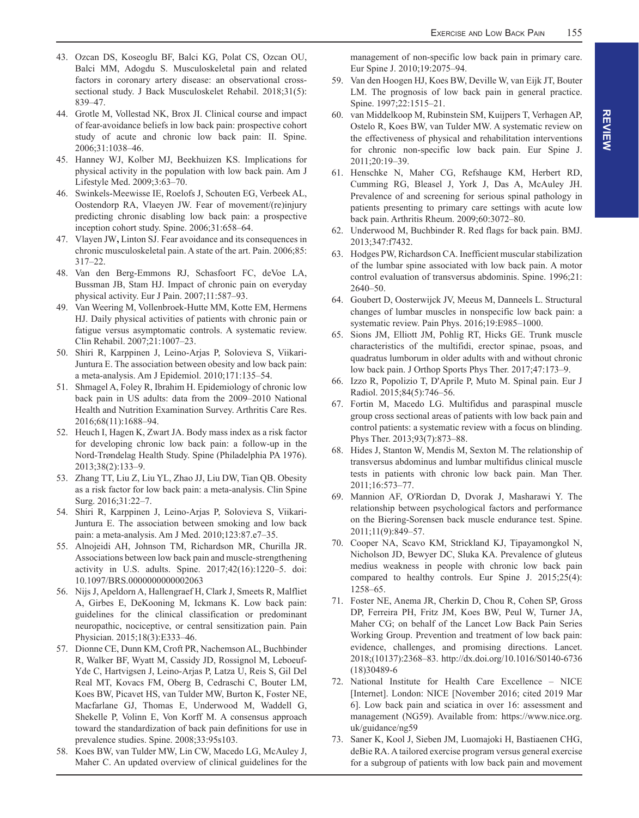- 43. Ozcan DS, Koseoglu BF, Balci KG, Polat CS, Ozcan OU, Balci MM, Adogdu S. Musculoskeletal pain and related factors in coronary artery disease: an observational crosssectional study. J Back Musculoskelet Rehabil. 2018;31(5): 839–47.
- 44. Grotle M, Vollestad NK, Brox JI. Clinical course and impact of fear-avoidance beliefs in low back pain: prospective cohort study of acute and chronic low back pain: II. Spine. 2006;31:1038–46.
- 45. Hanney WJ, Kolber MJ, Beekhuizen KS. Implications for physical activity in the population with low back pain. Am J Lifestyle Med. 2009;3:63–70.
- 46. Swinkels-Meewisse IE, Roelofs J, Schouten EG, Verbeek AL, Oostendorp RA, Vlaeyen JW. Fear of movement/(re)injury predicting chronic disabling low back pain: a prospective inception cohort study. Spine. 2006;31:658–64.
- 47. Vlayen JW**,** Linton SJ. Fear avoidance and its consequences in chronic musculoskeletal pain. A state of the art. Pain. 2006;85: 317–22.
- 48. Van den Berg-Emmons RJ, Schasfoort FC, deVoe LA, Bussman JB, Stam HJ. Impact of chronic pain on everyday physical activity. Eur J Pain. 2007;11:587–93.
- 49. Van Weering M, Vollenbroek-Hutte MM, Kotte EM, Hermens HJ. Daily physical activities of patients with chronic pain or fatigue versus asymptomatic controls. A systematic review. Clin Rehabil. 2007;21:1007–23.
- 50. Shiri R, Karppinen J, Leino-Arjas P, Solovieva S, Viikari-Juntura E. The association between obesity and low back pain: a meta-analysis. Am J Epidemiol. 2010;171:135–54.
- 51. Shmagel A, Foley R, Ibrahim H. Epidemiology of chronic low back pain in US adults: data from the 2009–2010 National Health and Nutrition Examination Survey. Arthritis Care Res. 2016;68(11):1688–94.
- 52. Heuch I, Hagen K, Zwart JA. Body mass index as a risk factor for developing chronic low back pain: a follow-up in the Nord-Trøndelag Health Study. Spine (Philadelphia PA 1976). 2013;38(2):133–9.
- 53. Zhang TT, Liu Z, Liu YL, Zhao JJ, Liu DW, Tian QB. Obesity as a risk factor for low back pain: a meta-analysis. Clin Spine Surg. 2016;31:22–7.
- 54. Shiri R, Karppinen J, Leino-Arjas P, Solovieva S, Viikari-Juntura E. The association between smoking and low back pain: a meta-analysis. Am J Med. 2010;123:87.e7–35.
- 55. Alnojeidi AH, Johnson TM, Richardson MR, Churilla JR. Associations between low back pain and muscle-strengthening activity in U.S. adults. Spine. 2017;42(16):1220–5. doi: 10.1097/BRS.0000000000002063
- 56. Nijs J, Apeldorn A, Hallengraef H, Clark J, Smeets R, Malfliet A, Girbes E, DeKooning M, Ickmans K. Low back pain: guidelines for the clinical classification or predominant neuropathic, nociceptive, or central sensitization pain. Pain Physician. 2015;18(3):E333–46.
- 57. Dionne CE, Dunn KM, Croft PR, Nachemson AL, Buchbinder R, Walker BF, Wyatt M, Cassidy JD, Rossignol M, Leboeuf-Yde C, Hartvigsen J, Leino-Arjas P, Latza U, Reis S, Gil Del Real MT, Kovacs FM, Oberg B, Cedraschi C, Bouter LM, Koes BW, Picavet HS, van Tulder MW, Burton K, Foster NE, Macfarlane GJ, Thomas E, Underwood M, Waddell G, Shekelle P, Volinn E, Von Korff M. A consensus approach toward the standardization of back pain definitions for use in prevalence studies. Spine. 2008;33:95s103.
- 58. Koes BW, van Tulder MW, Lin CW, Macedo LG, McAuley J, Maher C. An updated overview of clinical guidelines for the

management of non-specific low back pain in primary care. Eur Spine J. 2010;19:2075–94.

- 59. Van den Hoogen HJ, Koes BW, Deville W, van Eijk JT, Bouter LM. The prognosis of low back pain in general practice. Spine. 1997;22:1515–21.
- 60. van Middelkoop M, Rubinstein SM, Kuijpers T, Verhagen AP, Ostelo R, Koes BW, van Tulder MW. A systematic review on the effectiveness of physical and rehabilitation interventions for chronic non-specific low back pain. Eur Spine J. 2011;20:19–39.
- 61. Henschke N, Maher CG, Refshauge KM, Herbert RD, Cumming RG, Bleasel J, York J, Das A, McAuley JH. Prevalence of and screening for serious spinal pathology in patients presenting to primary care settings with acute low back pain. Arthritis Rheum. 2009;60:3072–80.
- 62. Underwood M, Buchbinder R. Red flags for back pain. BMJ. 2013;347:f7432.
- 63. Hodges PW, Richardson CA. Inefficient muscular stabilization of the lumbar spine associated with low back pain. A motor control evaluation of transversus abdominis. Spine. 1996;21: 2640–50.
- 64. Goubert D, Oosterwijck JV, Meeus M, Danneels L. Structural changes of lumbar muscles in nonspecific low back pain: a systematic review. Pain Phys. 2016;19:E985–1000.
- 65. Sions JM, Elliott JM, Pohlig RT, Hicks GE. Trunk muscle characteristics of the multifidi, erector spinae, psoas, and quadratus lumborum in older adults with and without chronic low back pain. J Orthop Sports Phys Ther. 2017;47:173–9.
- 66. Izzo R, Popolizio T, D'Aprile P, Muto M. Spinal pain. Eur J Radiol. 2015;84(5):746–56.
- 67. Fortin M, Macedo LG. Multifidus and paraspinal muscle group cross sectional areas of patients with low back pain and control patients: a systematic review with a focus on blinding. Phys Ther. 2013;93(7):873–88.
- 68. Hides J, Stanton W, Mendis M, Sexton M. The relationship of transversus abdominus and lumbar multifidus clinical muscle tests in patients with chronic low back pain. Man Ther. 2011;16:573–77.
- 69. Mannion AF, O'Riordan D, Dvorak J, Masharawi Y. The relationship between psychological factors and performance on the Biering-Sorensen back muscle endurance test. Spine. 2011;11(9):849–57.
- 70. Cooper NA, Scavo KM, Strickland KJ, Tipayamongkol N, Nicholson JD, Bewyer DC, Sluka KA. Prevalence of gluteus medius weakness in people with chronic low back pain compared to healthy controls. Eur Spine J. 2015;25(4): 1258–65.
- 71. Foster NE, Anema JR, Cherkin D, Chou R, Cohen SP, Gross DP, Ferreira PH, Fritz JM, Koes BW, Peul W, Turner JA, Maher CG; on behalf of the Lancet Low Back Pain Series Working Group. Prevention and treatment of low back pain: evidence, challenges, and promising directions. Lancet. 2018;(10137):2368–83. http://dx.doi.org/10.1016/S0140-6736 (18)30489-6
- 72. National Institute for Health Care Excellence NICE [Internet]. London: NICE [November 2016; cited 2019 Mar 6]. Low back pain and sciatica in over 16: assessment and management (NG59). Available from: https://www.nice.org. uk/guidance/ng59
- 73. Saner K, Kool J, Sieben JM, Luomajoki H, Bastiaenen CHG, deBie RA. A tailored exercise program versus general exercise for a subgroup of patients with low back pain and movement